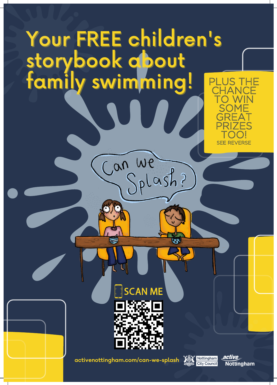## Your FREE children's storybook about family swimming! CHANCE TO WIN SOME



Can we<br>Splash?

**activenottingham.com/can-we-splash**

Nottingham **City Council**  active **Nottingham** 

GREAT

PRIZES

TOO! **E REVERSE**